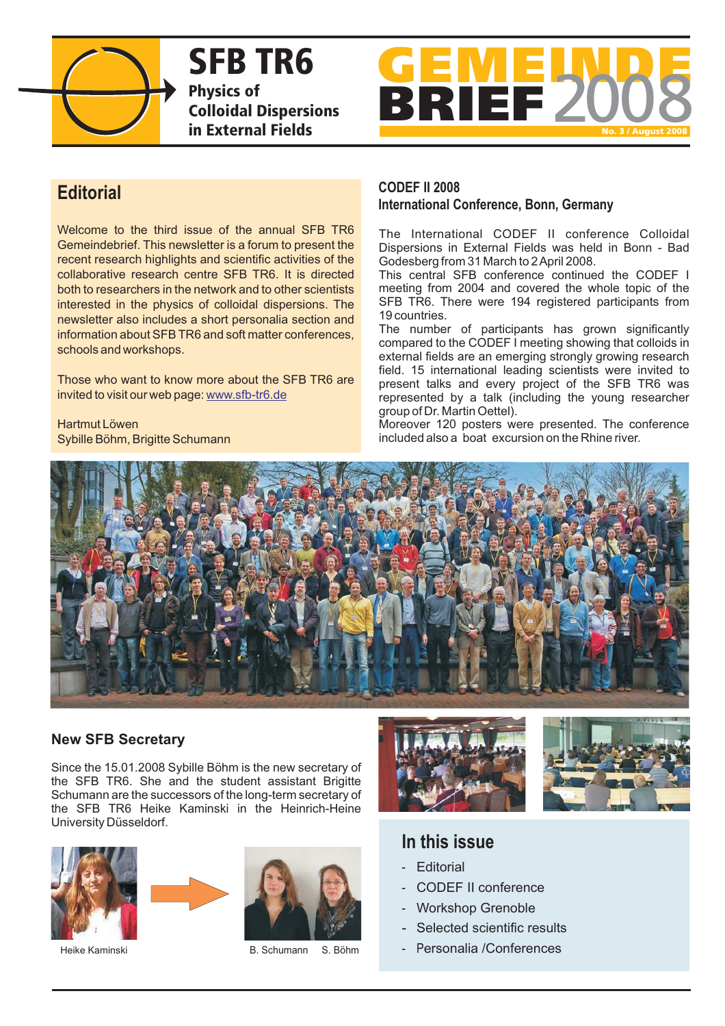

**SFB TR6 Physics of Colloidal Dispersions in External Fields**



Welcome to the third issue of the annual SFB TR6 Gemeindebrief. This newsletter is a forum to present the recent research highlights and scientific activities of the collaborative research centre SFB TR6. It is directed both to researchers in the network and to other scientists interested in the physics of colloidal dispersions. The newsletter also includes a short personalia section and information about SFB TR6 and soft matter conferences, schools and workshops.

Those who want to know more about the SFB TR6 are invited to visit our web page: www.sfb-tr6.de

Hartmut Löwen Sybille Böhm, Brigitte Schumann

## **CODEF II 2008 International Conference, Bonn, Germany Editorial**

The International CODEF II conference Colloidal Dispersions in External Fields was held in Bonn - Bad Godesberg from 31 March to 2April 2008.

This central SFB conference continued the CODEF I meeting from 2004 and covered the whole topic of the SFB TR6. There were 194 registered participants from 19 countries.

The number of participants has grown significantly compared to the CODEF I meeting showing that colloids in external fields are an emerging strongly growing research field. 15 international leading scientists were invited to present talks and every project of the SFB TR6 was represented by a talk (including the young researcher group of Dr. Martin Oettel).

Moreover 120 posters were presented. The conference included also a boat excursion on the Rhine river.



# **New SFB Secretary**

Since the 15.01.2008 Sybille Böhm is the new secretary of the SFB TR6. She and the student assistant Brigitte Schumann are the successors of the long-term secretary of the SFB TR6 Heike Kaminski in the Heinrich-Heine University Düsseldorf.







B. Schumann



# **In this issue**

- **Editorial**
- CODEF II conference
- Workshop Grenoble
- Selected scientific results
- Heike Kaminski **ersonalia /Conferences B.** Schumann S. Böhm **and Personalia /Conferences**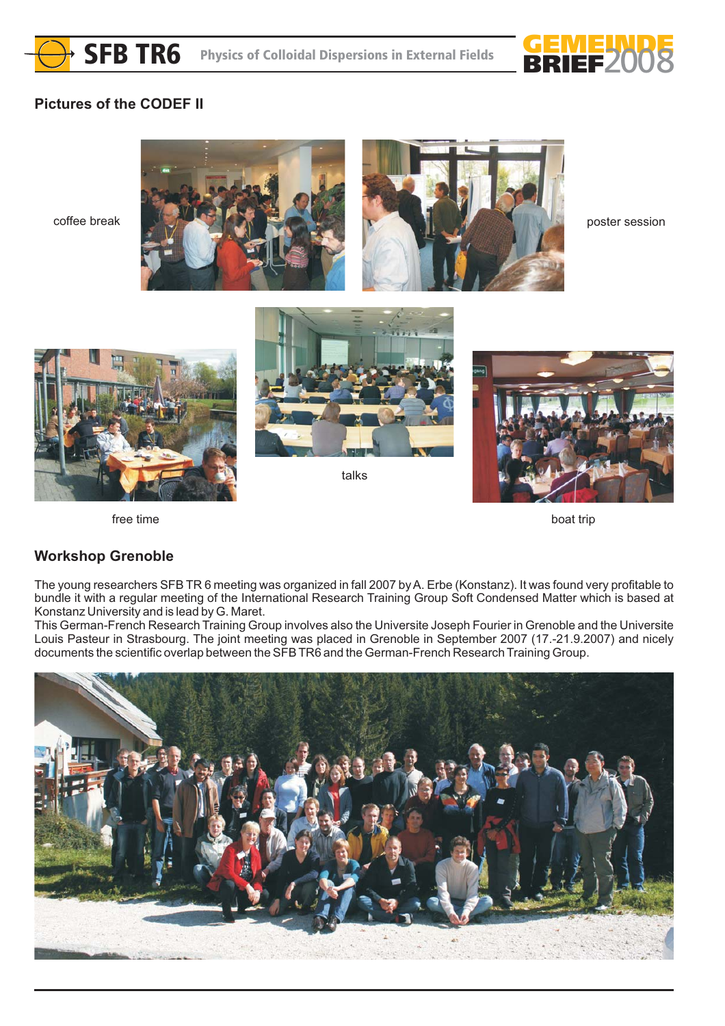



# **Pictures of the CODEF II**



boat trip

free time

# **Workshop Grenoble**

The young researchers SFB TR 6 meeting was organized in fall 2007 byA. Erbe (Konstanz). It was found very profitable to bundle it with a regular meeting of the International Research Training Group Soft Condensed Matter which is based at Konstanz University and is lead by G. Maret.

This German-French Research Training Group involves also the Universite Joseph Fourier in Grenoble and the Universite Louis Pasteur in Strasbourg. The joint meeting was placed in Grenoble in September 2007 (17.-21.9.2007) and nicely documents the scientific overlap between the SFB TR6 and the German-French Research Training Group.

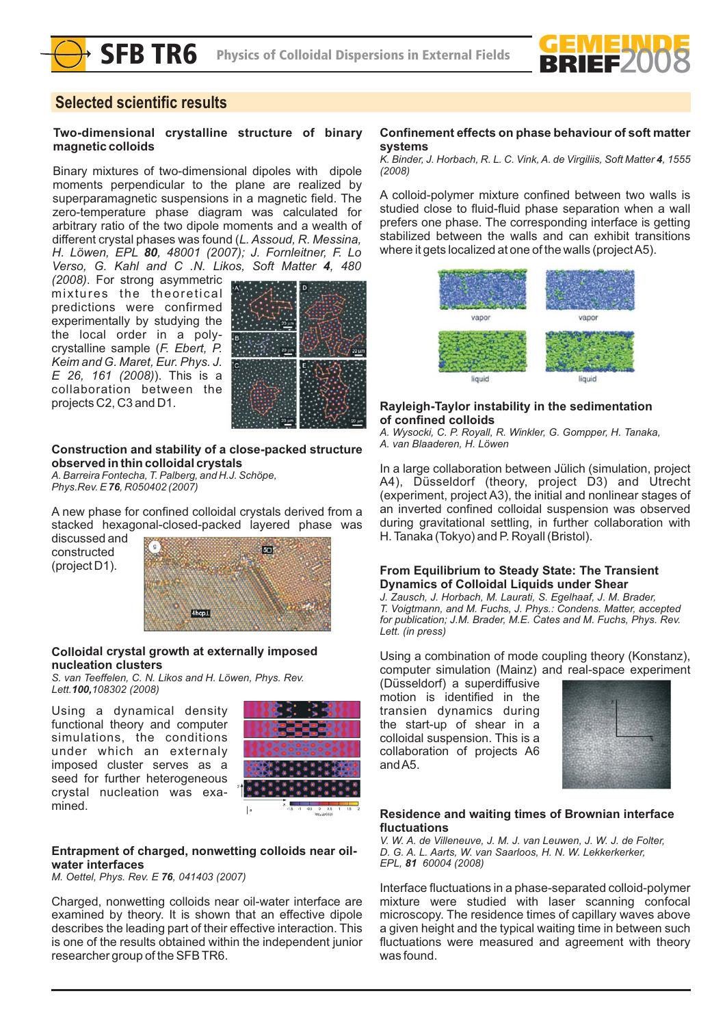

# **Selected scientific results**

#### **Two-dimensional crystalline structure of binary magnetic colloids**

Binary mixtures of two-dimensional dipoles with dipole moments perpendicular to the plane are realized by superparamagnetic suspensions in a magnetic field. The zero-temperature phase diagram was calculated for arbitrary ratio of the two dipole moments and a wealth of different crystal phases was found (*L. Assoud, R. Messina, H. Löwen, EPL , 48001 (2007); J. Fornleitner, F. Lo 80* Verso, G. Kahl and C .N. Likos, Soft Matter 4, 480

*(2008)*. For strong asymmetric mixtures the theoretical predictions were confirmed experimentally by studying the the local order in a polycrystalline sample ( *F. Ebert, P.* ). This is a *E 26, 161 (2008)* collaboration between the projects C2, C3 and D1. *Keim and G. Maret, Eur. Phys. J.*



#### **Construction and stability of a close-packed structure observed in thin colloidal crystals**

*A. Barreira Fontecha, T. Palberg, and H.J. Schöpe, Phys.Rev. E* 76, R050402 (2007)

A new phase for confined colloidal crystals derived from a stacked hexagonal-closed-packed layered phase was

discussed and constructed (project D1).



#### **Colloidal crystal growth at externally imposed nucleation clusters**

*S. van Teeffelen, C. N. Likos and H. Löwen, Phys. Rev. Lett. 108302 (2008) 100,*

Using a dynamical density functional theory and computer simulations, the conditions under which an externaly imposed cluster serves as a seed for further heterogeneous crystal nucleation was examined.



#### **Entrapment of charged, nonwetting colloids near oilwater interfaces**

*M. Oettel, Phys. Rev. E 76, 041403 (2007)* 

Charged, nonwetting colloids near oil-water interface are examined by theory. It is shown that an effective dipole describes the leading part of their effective interaction. This is one of the results obtained within the independent junior researcher group of the SFB TR6.

#### **Confinement effects on phase behaviour of soft matter systems**

K. Binder, J. Horbach, R. L. C. Vink, A. de Virgiliis, Soft Matter 4, 1555 *(2008)*

A colloid-polymer mixture confined between two walls is studied close to fluid-fluid phase separation when a wall prefers one phase. The corresponding interface is getting stabilized between the walls and can exhibit transitions where it gets localized at one of the walls (projectA5).



#### **Rayleigh-Taylor instability in the sedimentation of confined colloids**

*A. Wysocki, C. P. Royall, R. Winkler, G. Gompper, H. Tanaka, A. van Blaaderen, H. Löwen*

In a large collaboration between Jülich (simulation, project A4), Düsseldorf (theory, project D3) and Utrecht (experiment, project A3), the initial and nonlinear stages of an inverted confined colloidal suspension was observed during gravitational settling, in further collaboration with H. Tanaka (Tokyo) and P. Royall (Bristol).

#### **From Equilibrium to Steady State: The Transient Dynamics of Colloidal Liquids under Shear**

*J. Zausch, J. Horbach, M. Laurati, S. Egelhaaf, J. M. Brader, T. Voigtmann, and M. Fuchs, J. Phys.: Condens. Matter, accepted for publication; J.M. Brader, M.E. Cates and M. Fuchs, Phys. Rev. Lett. (in press)*

Using a combination of mode coupling theory (Konstanz), computer simulation (Mainz) and real-space experiment

(Düsseldorf) a superdiffusive motion is identified in the transien dynamics during the start-up of shear in a colloidal suspension. This is a collaboration of projects A6 andA5.

| -                  |  |
|--------------------|--|
|                    |  |
|                    |  |
|                    |  |
|                    |  |
|                    |  |
|                    |  |
|                    |  |
|                    |  |
|                    |  |
|                    |  |
| - 1<br>-           |  |
|                    |  |
|                    |  |
| 82<br>8<br>n       |  |
|                    |  |
| 898<br>÷           |  |
|                    |  |
|                    |  |
| a,                 |  |
| m                  |  |
|                    |  |
| ٠                  |  |
|                    |  |
| -                  |  |
|                    |  |
|                    |  |
| <br>٠              |  |
| ٠                  |  |
|                    |  |
|                    |  |
|                    |  |
|                    |  |
|                    |  |
|                    |  |
|                    |  |
|                    |  |
| ٠                  |  |
| <b>Corporation</b> |  |
|                    |  |
|                    |  |
| -                  |  |
|                    |  |

#### **Residence and waiting times of Brownian interface fluctuations**

*V. W. A. de Villeneuve, J. M. J. van Leuwen, J. W. J. de Folter, D. G. A. L. Aarts, W. van Saarloos, H. N. W. Lekkerkerker, EPL*, 81 60004 (2008)

Interface fluctuations in a phase-separated colloid-polymer mixture were studied with laser scanning confocal microscopy. The residence times of capillary waves above a given height and the typical waiting time in between such fluctuations were measured and agreement with theory was found.